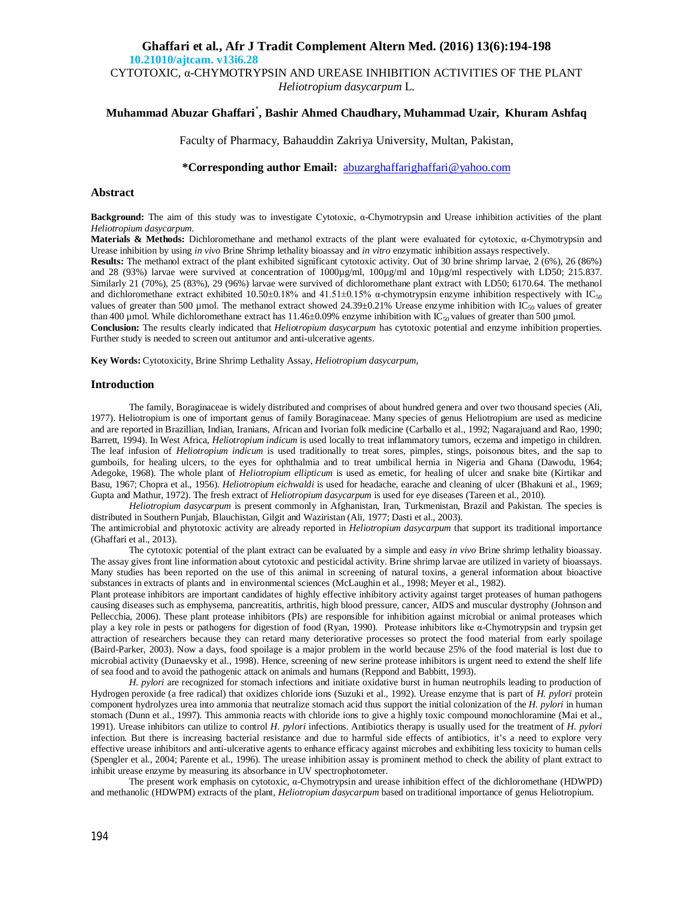### **Ghaffari et al., Afr J Tradit Complement Altern Med. (2016) 13(6):194-198 10.21010/ajtcam. v13i6.28**

CYTOTOXIC,  $\alpha$ -CHYMOTRYPSIN AND UREASE INHIBITION ACTIVITIES OF THE PLANT *Heliotropium dasycarpum* L.

# **Muhammad Abuzar Ghaffari**٭ **, Bashir Ahmed Chaudhary, Muhammad Uzair, Khuram Ashfaq**

Faculty of Pharmacy, Bahauddin Zakriya University, Multan, Pakistan,

**\*Corresponding author Email:** [abuzarghaffarighaffari@yahoo.com](mailto:abuzarghaffarighaffari@yahoo.com)

### **Abstract**

**Background:** The aim of this study was to investigate Cytotoxic, α-Chymotrypsin and Urease inhibition activities of the plant *Heliotropium dasycarpum*.

**Materials & Methods:** Dichloromethane and methanol extracts of the plant were evaluated for cytotoxic, α-Chymotrypsin and Urease inhibition by using *in vivo* Brine Shrimp lethality bioassay and *in vitro* enzymatic inhibition assays respectively.

**Results:** The methanol extract of the plant exhibited significant cytotoxic activity. Out of 30 brine shrimp larvae, 2 (6%), 26 (86%) and 28 (93%) larvae were survived at concentration of  $1000\mu\text{g/ml}$ ,  $100\mu\text{g/ml}$  and  $10\mu\text{g/ml}$  respectively with LD50; 215.837. Similarly 21 (70%), 25 (83%), 29 (96%) larvae were survived of dichloromethane plant extract with LD50; 6170.64. The methanol and dichloromethane extract exhibited 10.50±0.18% and 41.51±0.15%  $\alpha$ -chymotrypsin enzyme inhibition respectively with IC<sub>50</sub> values of greater than 500 µmol. The methanol extract showed  $24.39\pm0.21\%$  Urease enzyme inhibition with IC<sub>50</sub> values of greater than 400 µmol. While dichloromethane extract has  $11.46\pm0.09\%$  enzyme inhibition with IC<sub>50</sub> values of greater than 500 µmol. **Conclusion:** The results clearly indicated that *Heliotropium dasycarpum* has cytotoxic potential and enzyme inhibition properties. Further study is needed to screen out antitumor and anti-ulcerative agents.

**Key Words:** Cytotoxicity, Brine Shrimp Lethality Assay, *Heliotropium dasycarpum,*

### **Introduction**

The family, Boraginaceae is widely distributed and comprises of about hundred genera and over two thousand species (Ali, 1977). Heliotropium is one of important genus of family Boraginaceae. Many species of genus Heliotropium are used as medicine and are reported in Brazillian, Indian, Iranians, African and Ivorian folk medicine (Carballo et al., 1992; Nagarajuand and Rao, 1990; Barrett, 1994). In West Africa, *Heliotropium indicum* is used locally to treat inflammatory tumors, eczema and impetigo in children. The leaf infusion of *Heliotropium indicum* is used traditionally to treat sores, pimples, stings, poisonous bites, and the sap to gumboils, for healing ulcers, to the eyes for ophthalmia and to treat umbilical hernia in Nigeria and Ghana (Dawodu, 1964; Adegoke, 1968). The whole plant of *Heliotropium ellipticum* is used as emetic, for healing of ulcer and snake bite (Kirtikar and Basu, 1967; Chopra et al., 1956). *Heliotropium eichwaldi* is used for headache, earache and cleaning of ulcer (Bhakuni et al., 1969; Gupta and Mathur, 1972). The fresh extract of *Heliotropium dasycarpum* is used for eye diseases (Tareen et al., 2010).

*Heliotropium dasycarpum* is present commonly in Afghanistan, Iran, Turkmenistan, Brazil and Pakistan. The species is distributed in Southern Punjab, Blauchistan, Gilgit and Waziristan (Ali, 1977; Dasti et al., 2003).

The antimicrobial and phytotoxic activity are already reported in *Heliotropium dasycarpum* that support its traditional importance (Ghaffari et al., 2013).

The cytotoxic potential of the plant extract can be evaluated by a simple and easy *in vivo* Brine shrimp lethality bioassay. The assay gives front line information about cytotoxic and pesticidal activity. Brine shrimp larvae are utilized in variety of bioassays. Many studies has been reported on the use of this animal in screening of natural toxins, a general information about bioactive substances in extracts of plants and in environmental sciences (McLaughin et al., 1998; Meyer et al., 1982).

Plant protease inhibitors are important candidates of highly effective inhibitory activity against target proteases of human pathogens causing diseases such as emphysema, pancreatitis, arthritis, high blood pressure, cancer, AIDS and muscular dystrophy (Johnson and Pellecchia, 2006). These plant protease inhibitors (PIs) are responsible for inhibition against microbial or animal proteases which play a key role in pests or pathogens for digestion of food (Ryan, 1990). Protease inhibitors like α-Chymotrypsin and trypsin get attraction of researchers because they can retard many deteriorative processes so protect the food material from early spoilage (Baird-Parker, 2003). Now a days, food spoilage is a major problem in the world because 25% of the food material is lost due to microbial activity (Dunaevsky et al., 1998). Hence, screening of new serine protease inhibitors is urgent need to extend the shelf life of sea food and to avoid the pathogenic attack on animals and humans (Reppond and Babbitt, 1993).

*H. pylori* are recognized for stomach infections and initiate oxidative burst in human neutrophils leading to production of Hydrogen peroxide (a free radical) that oxidizes chloride ions (Suzuki et al., 1992). Urease enzyme that is part of *H. pylori* protein component hydrolyzes urea into ammonia that neutralize stomach acid thus support the initial colonization of the *H. pylori* in human stomach (Dunn et al., 1997). This ammonia reacts with chloride ions to give a highly toxic compound monochloramine (Mai et al., 1991). Urease inhibitors can utilize to control *H. pylori* infections. Antibiotics therapy is usually used for the treatment of *H. pylori*  infection. But there is increasing bacterial resistance and due to harmful side effects of antibiotics, it's a need to explore very effective urease inhibitors and anti-ulcerative agents to enhance efficacy against microbes and exhibiting less toxicity to human cells (Spengler et al., 2004; Parente et al., 1996). The urease inhibition assay is prominent method to check the ability of plant extract to inhibit urease enzyme by measuring its absorbance in UV spectrophotometer.

The present work emphasis on cytotoxic, α-Chymotrypsin and urease inhibition effect of the dichloromethane (HDWPD) and methanolic (HDWPM) extracts of the plant, *Heliotropium dasycarpum* based on traditional importance of genus Heliotropium.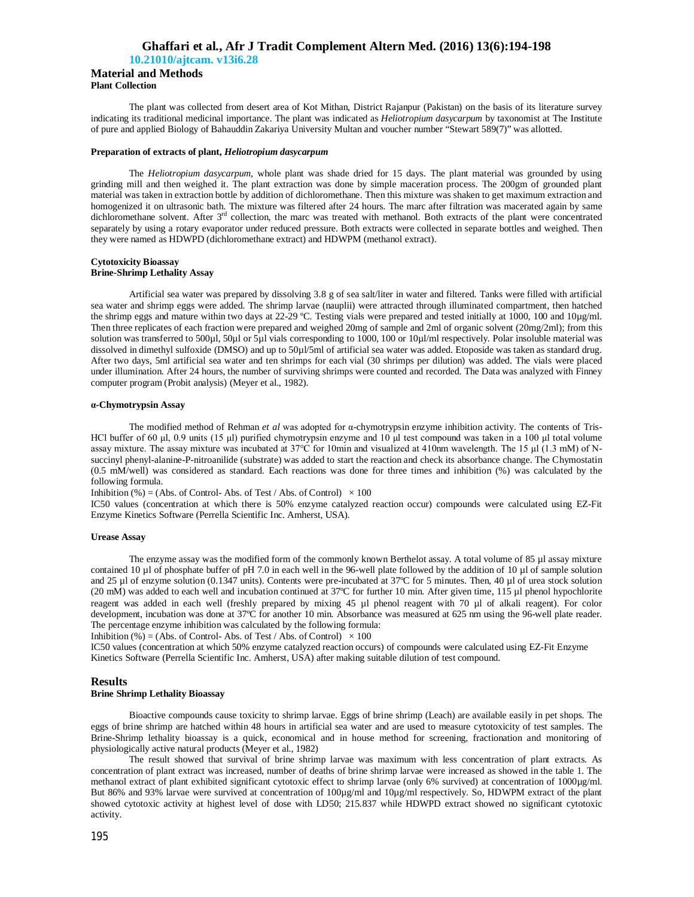# **Ghaffari et al., Afr J Tradit Complement Altern Med. (2016) 13(6):194-198**

**10.21010/ajtcam. v13i6.28**

### **Material and Methods Plant Collection**

The plant was collected from desert area of Kot Mithan, District Rajanpur (Pakistan) on the basis of its literature survey indicating its traditional medicinal importance. The plant was indicated as *Heliotropium dasycarpum* by taxonomist at The Institute of pure and applied Biology of Bahauddin Zakariya University Multan and voucher number "Stewart 589(7)" was allotted.

### **Preparation of extracts of plant,** *Heliotropium dasycarpum*

The *Heliotropium dasycarpum,* whole plant was shade dried for 15 days. The plant material was grounded by using grinding mill and then weighed it. The plant extraction was done by simple maceration process. The 200gm of grounded plant material was taken in extraction bottle by addition of dichloromethane. Then this mixture was shaken to get maximum extraction and homogenized it on ultrasonic bath. The mixture was filtered after 24 hours. The marc after filtration was macerated again by same dichloromethane solvent. After 3<sup>rd</sup> collection, the marc was treated with methanol. Both extracts of the plant were concentrated separately by using a rotary evaporator under reduced pressure. Both extracts were collected in separate bottles and weighed. Then they were named as HDWPD (dichloromethane extract) and HDWPM (methanol extract).

### **Cytotoxicity Bioassay Brine-Shrimp Lethality Assay**

Artificial sea water was prepared by dissolving 3.8 g of sea salt/liter in water and filtered. Tanks were filled with artificial sea water and shrimp eggs were added. The shrimp larvae (nauplii) were attracted through illuminated compartment, then hatched the shrimp eggs and mature within two days at 22-29 ºC. Testing vials were prepared and tested initially at 1000, 100 and 10µg/ml. Then three replicates of each fraction were prepared and weighed 20mg of sample and 2ml of organic solvent (20mg/2ml); from this solution was transferred to 500µl, 50µl or 5µl vials corresponding to 1000, 100 or 10µl/ml respectively. Polar insoluble material was dissolved in dimethyl sulfoxide (DMSO) and up to 50µl/5ml of artificial sea water was added. Etoposide was taken as standard drug. After two days, 5ml artificial sea water and ten shrimps for each vial (30 shrimps per dilution) was added. The vials were placed under illumination. After 24 hours, the number of surviving shrimps were counted and recorded. The Data was analyzed with Finney computer program (Probit analysis) (Meyer et al., 1982).

### **α-Chymotrypsin Assay**

The modified method of Rehman *et al* was adopted for α-chymotrypsin enzyme inhibition activity. The contents of Tris-HCl buffer of 60 μl, 0.9 units (15 μl) purified chymotrypsin enzyme and 10 μl test compound was taken in a 100 μl total volume assay mixture. The assay mixture was incubated at 37°C for 10min and visualized at 410nm wavelength. The 15 μl (1.3 mM) of Nsuccinyl phenyl-alanine-P-nitroanilide (substrate) was added to start the reaction and check its absorbance change. The Chymostatin (0.5 mM/well) was considered as standard. Each reactions was done for three times and inhibition (%) was calculated by the following formula.

Inhibition (%) = (Abs. of Control-Abs. of Test / Abs. of Control)  $\times$  100

IC50 values (concentration at which there is 50% enzyme catalyzed reaction occur) compounds were calculated using EZ-Fit Enzyme Kinetics Software (Perrella Scientific Inc. Amherst, USA).

### **Urease Assay**

The enzyme assay was the modified form of the commonly known Berthelot assay. A total volume of 85 µl assay mixture contained 10  $\mu$ l of phosphate buffer of pH 7.0 in each well in the 96-well plate followed by the addition of 10  $\mu$ l of sample solution and 25 µl of enzyme solution (0.1347 units). Contents were pre-incubated at 37°C for 5 minutes. Then, 40 µl of urea stock solution (20 mM) was added to each well and incubation continued at 37ºC for further 10 min. After given time, 115 µl phenol hypochlorite reagent was added in each well (freshly prepared by mixing 45 µl phenol reagent with 70 µl of alkali reagent). For color development, incubation was done at 37ºC for another 10 min. Absorbance was measured at 625 nm using the 96-well plate reader. The percentage enzyme inhibition was calculated by the following formula:

Inhibition (%) = (Abs. of Control-Abs. of Test / Abs. of Control)  $\times$  100

IC50 values (concentration at which 50% enzyme catalyzed reaction occurs) of compounds were calculated using EZ-Fit Enzyme Kinetics Software (Perrella Scientific Inc. Amherst, USA) after making suitable dilution of test compound.

### **Results**

### **Brine Shrimp Lethality Bioassay**

Bioactive compounds cause toxicity to shrimp larvae. Eggs of brine shrimp (Leach) are available easily in pet shops. The eggs of brine shrimp are hatched within 48 hours in artificial sea water and are used to measure cytotoxicity of test samples. The Brine-Shrimp lethality bioassay is a quick, economical and in house method for screening, fractionation and monitoring of physiologically active natural products (Meyer et al., 1982)

The result showed that survival of brine shrimp larvae was maximum with less concentration of plant extracts. As concentration of plant extract was increased, number of deaths of brine shrimp larvae were increased as showed in the table 1. The methanol extract of plant exhibited significant cytotoxic effect to shrimp larvae (only 6% survived) at concentration of 1000µg/ml. But 86% and 93% larvae were survived at concentration of 100µg/ml and 10µg/ml respectively. So, HDWPM extract of the plant showed cytotoxic activity at highest level of dose with LD50; 215.837 while HDWPD extract showed no significant cytotoxic activity.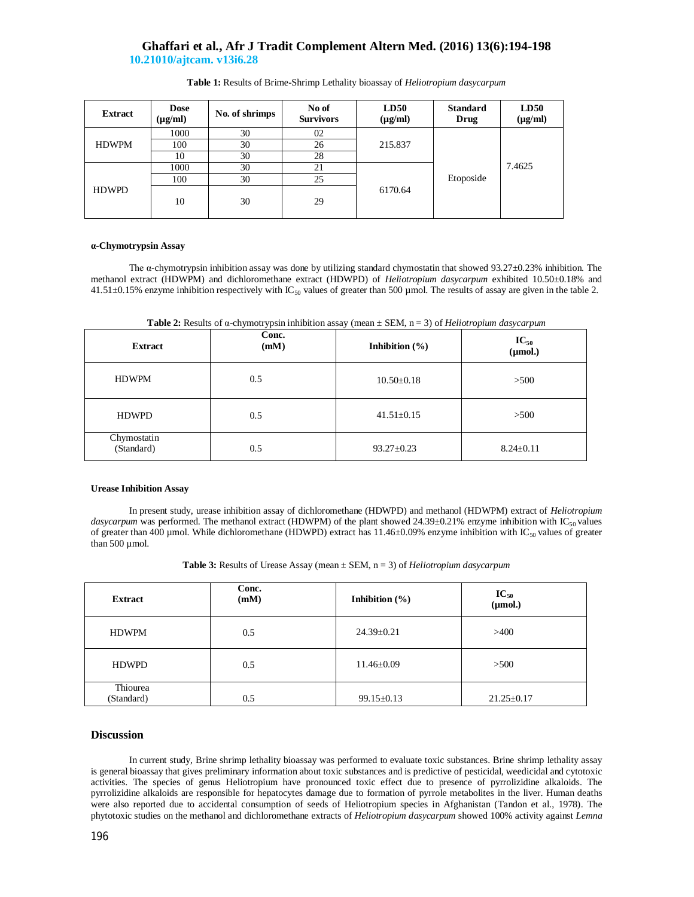# **Ghaffari et al., Afr J Tradit Complement Altern Med. (2016) 13(6):194-198 10.21010/ajtcam. v13i6.28**

| <b>Extract</b> | <b>Dose</b><br>$(\mu g/ml)$ | No. of shrimps | No of<br><b>Survivors</b> | LD50<br>$(\mu g/ml)$ | <b>Standard</b><br>Drug | LD50<br>$(\mu g/ml)$ |
|----------------|-----------------------------|----------------|---------------------------|----------------------|-------------------------|----------------------|
| <b>HDWPM</b>   | 1000                        | 30             | 02                        | 215.837              | Etoposide               | 7.4625               |
|                | 100                         | 30             | 26                        |                      |                         |                      |
|                | 10                          | 30             | 28                        |                      |                         |                      |
| <b>HDWPD</b>   | 1000                        | 30             | 21                        | 6170.64              |                         |                      |
|                | 100                         | 30             | 25                        |                      |                         |                      |
|                | 10                          | 30             | 29                        |                      |                         |                      |

**Table 1:** Results of Brime-Shrimp Lethality bioassay of *Heliotropium dasycarpum*

### **α-Chymotrypsin Assay**

The  $\alpha$ -chymotrypsin inhibition assay was done by utilizing standard chymostatin that showed 93.27 $\pm$ 0.23% inhibition. The methanol extract (HDWPM) and dichloromethane extract (HDWPD) of *Heliotropium dasycarpum* exhibited 10.50±0.18% and 41.51 $\pm$ 0.15% enzyme inhibition respectively with IC<sub>50</sub> values of greater than 500 µmol. The results of assay are given in the table 2.

**Table 2:** Results of α-chymotrypsin inhibition assay (mean ± SEM, n = 3) of *Heliotropium dasycarpum*

| <b>Extract</b>            | Conc.<br>(mM) | Inhibition $(\% )$ | $IC_{50}$<br>$(\mu mol.)$ |
|---------------------------|---------------|--------------------|---------------------------|
| <b>HDWPM</b>              | 0.5           | $10.50 \pm 0.18$   | >500                      |
| <b>HDWPD</b>              | 0.5           | $41.51 \pm 0.15$   | >500                      |
| Chymostatin<br>(Standard) | 0.5           | $93.27 \pm 0.23$   | $8.24 \pm 0.11$           |

### **Urease Inhibition Assay**

In present study, urease inhibition assay of dichloromethane (HDWPD) and methanol (HDWPM) extract of *Heliotropium dasycarpum* was performed. The methanol extract (HDWPM) of the plant showed 24.39±0.21% enzyme inhibition with IC<sub>50</sub> values of greater than 400 µmol. While dichloromethane (HDWPD) extract has  $11.46\pm0.09\%$  enzyme inhibition with IC<sub>50</sub> values of greater than  $500 \mu$  mol.

| <b>Extract</b>         | Conc.<br>(mM) | Inhibition $(\% )$ | $IC_{50}$<br>$(\mu mol.)$ |
|------------------------|---------------|--------------------|---------------------------|
| <b>HDWPM</b>           | 0.5           | $24.39 \pm 0.21$   | >400                      |
| <b>HDWPD</b>           | 0.5           | $11.46 \pm 0.09$   | >500                      |
| Thiourea<br>(Standard) | 0.5           | $99.15 \pm 0.13$   | $21.25 \pm 0.17$          |

### **Discussion**

In current study, Brine shrimp lethality bioassay was performed to evaluate toxic substances. Brine shrimp lethality assay is general bioassay that gives preliminary information about toxic substances and is predictive of pesticidal, weedicidal and cytotoxic activities. The species of genus Heliotropium have pronounced toxic effect due to presence of pyrrolizidine alkaloids. The pyrrolizidine alkaloids are responsible for hepatocytes damage due to formation of pyrrole metabolites in the liver. Human deaths were also reported due to accidental consumption of seeds of Heliotropium species in Afghanistan (Tandon et al., 1978). The phytotoxic studies on the methanol and dichloromethane extracts of *Heliotropium dasycarpum* showed 100% activity against *Lemna*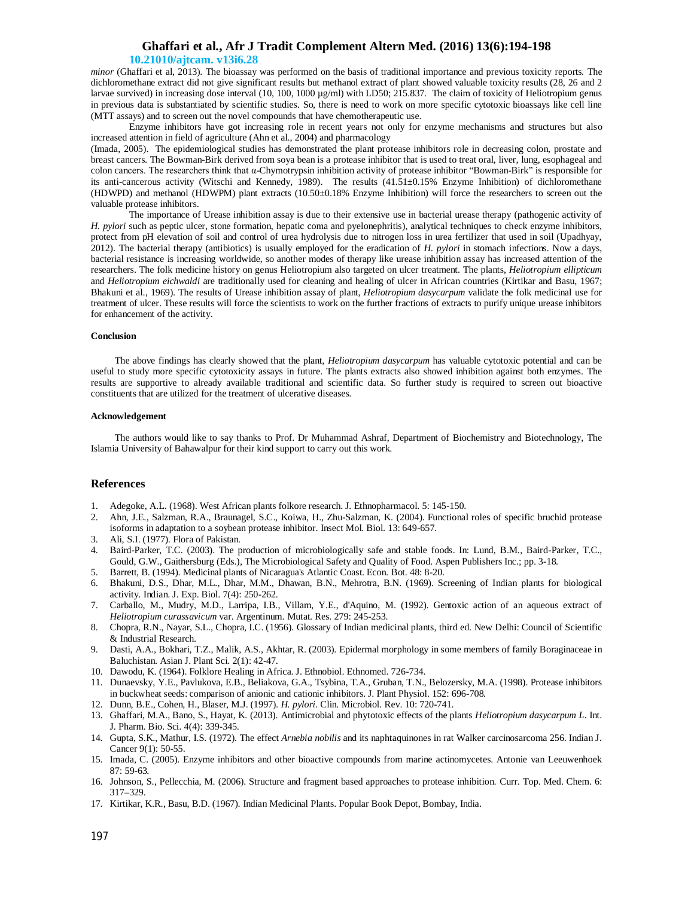# **Ghaffari et al., Afr J Tradit Complement Altern Med. (2016) 13(6):194-198**

### **10.21010/ajtcam. v13i6.28**

*minor* (Ghaffari et al, 2013). The bioassay was performed on the basis of traditional importance and previous toxicity reports. The dichloromethane extract did not give significant results but methanol extract of plant showed valuable toxicity results (28, 26 and 2 larvae survived) in increasing dose interval (10, 100, 1000 µg/ml) with LD50; 215.837. The claim of toxicity of Heliotropium genus in previous data is substantiated by scientific studies. So, there is need to work on more specific cytotoxic bioassays like cell line (MTT assays) and to screen out the novel compounds that have chemotherapeutic use.

Enzyme inhibitors have got increasing role in recent years not only for enzyme mechanisms and structures but also increased attention in field of agriculture (Ahn et al., 2004) and pharmacology

(Imada, 2005). The epidemiological studies has demonstrated the plant protease inhibitors role in decreasing colon, prostate and breast cancers. The Bowman-Birk derived from soya bean is a protease inhibitor that is used to treat oral, liver, lung, esophageal and colon cancers. The researchers think that α-Chymotrypsin inhibition activity of protease inhibitor "Bowman-Birk" is responsible for its anti-cancerous activity (Witschi and Kennedy, 1989). The results (41.51±0.15% Enzyme Inhibition) of dichloromethane (HDWPD) and methanol (HDWPM) plant extracts (10.50±0.18% Enzyme Inhibition) will force the researchers to screen out the valuable protease inhibitors.

The importance of Urease inhibition assay is due to their extensive use in bacterial urease therapy (pathogenic activity of *H. pylori* such as peptic ulcer, stone formation, hepatic coma and pyelonephritis), analytical techniques to check enzyme inhibitors, protect from pH elevation of soil and control of urea hydrolysis due to nitrogen loss in urea fertilizer that used in soil (Upadhyay, 2012). The bacterial therapy (antibiotics) is usually employed for the eradication of *H. pylori* in stomach infections. Now a days, bacterial resistance is increasing worldwide, so another modes of therapy like urease inhibition assay has increased attention of the researchers. The folk medicine history on genus Heliotropium also targeted on ulcer treatment. The plants, *Heliotropium ellipticum* and *Heliotropium eichwaldi* are traditionally used for cleaning and healing of ulcer in African countries (Kirtikar and Basu, 1967; Bhakuni et al., 1969). The results of Urease inhibition assay of plant, *Heliotropium dasycarpum* validate the folk medicinal use for treatment of ulcer. These results will force the scientists to work on the further fractions of extracts to purify unique urease inhibitors for enhancement of the activity.

#### **Conclusion**

The above findings has clearly showed that the plant, *Heliotropium dasycarpum* has valuable cytotoxic potential and can be useful to study more specific cytotoxicity assays in future. The plants extracts also showed inhibition against both enzymes. The results are supportive to already available traditional and scientific data. So further study is required to screen out bioactive constituents that are utilized for the treatment of ulcerative diseases.

### **Acknowledgement**

The authors would like to say thanks to Prof. Dr Muhammad Ashraf, Department of Biochemistry and Biotechnology, The Islamia University of Bahawalpur for their kind support to carry out this work.

### **References**

- 1. Adegoke, A.L. (1968). West African plants folkore research. J. Ethnopharmacol. 5: 145-150.
- 2. Ahn, J.E., Salzman, R.A., Braunagel, S.C., Koiwa, H., Zhu-Salzman, K. (2004). Functional roles of specific bruchid protease isoforms in adaptation to a soybean protease inhibitor. Insect Mol. Biol. 13: 649-657.
- 3. Ali, S.I. (1977). Flora of Pakistan.
- 4. Baird-Parker, T.C. (2003). The production of microbiologically safe and stable foods. In: Lund, B.M., Baird-Parker, T.C., Gould, G.W., Gaithersburg (Eds.), The Microbiological Safety and Quality of Food. Aspen Publishers Inc.; pp. 3-18.
- 5. Barrett, B. (1994). Medicinal plants of Nicaragua's Atlantic Coast. Econ. Bot. 48: 8-20.
- 6. Bhakuni, D.S., Dhar, M.L., Dhar, M.M., Dhawan, B.N., Mehrotra, B.N. (1969). Screening of Indian plants for biological activity. Indian. J. Exp. Biol. 7(4): 250-262.
- 7. Carballo, M., Mudry, M.D., Larripa, I.B., Villam, Y.E., d'Aquino, M. (1992). Gentoxic action of an aqueous extract of *Heliotropium curassavicum* var. Argentinum. Mutat. Res. 279: 245-253.
- 8. Chopra, R.N., Nayar, S.L., Chopra, I.C. (1956). Glossary of Indian medicinal plants, third ed. New Delhi: Council of Scientific & Industrial Research.
- 9. Dasti, A.A., Bokhari, T.Z., Malik, A.S., Akhtar, R. (2003). Epidermal morphology in some members of family Boraginaceae in Baluchistan. Asian J. Plant Sci. 2(1): 42-47.
- 10. Dawodu, K. (1964). Folklore Healing in Africa. J. Ethnobiol. Ethnomed. 726-734.
- 11. Dunaevsky, Y.E., Pavlukova, E.B., Beliakova, G.A., Tsybina, T.A., Gruban, T.N., Belozersky, M.A. (1998). Protease inhibitors in buckwheat seeds: comparison of anionic and cationic inhibitors. J. Plant Physiol. 152: 696-708.
- 12. Dunn, B.E., Cohen, H., Blaser, M.J. (1997). *H. pylori*. Clin. Microbiol. Rev. 10: 720-741.
- 13. Ghaffari, M.A., Bano, S., Hayat, K. (2013). Antimicrobial and phytotoxic effects of the plants *Heliotropium dasycarpum L*. Int. J. Pharm. Bio. Sci. 4(4): 339-345.
- 14. Gupta, S.K., Mathur, I.S. (1972). The effect *Arnebia nobilis* and its naphtaquinones in rat Walker carcinosarcoma 256. Indian J. Cancer 9(1): 50-55.
- 15. Imada, C. (2005). Enzyme inhibitors and other bioactive compounds from marine actinomycetes. Antonie van Leeuwenhoek 87: 59-63.
- 16. Johnson, S., Pellecchia, M. (2006). Structure and fragment based approaches to protease inhibition. Curr. Top. Med. Chem. 6: 317–329.
- 17. Kirtikar, K.R., Basu, B.D. (1967). Indian Medicinal Plants. Popular Book Depot, Bombay, India.